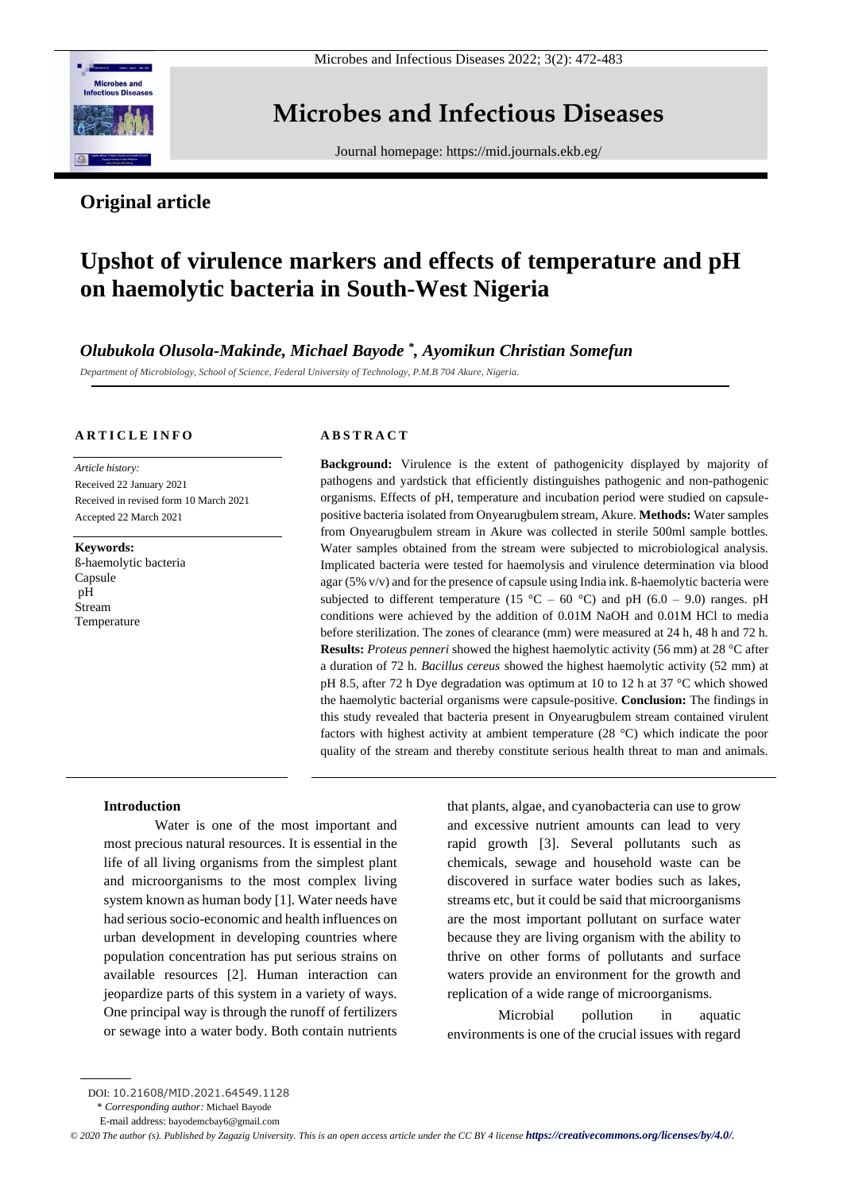

Microbes and Infectious Diseases 2022; 3(2): 472-483

# **Microbes and Infectious Diseases**

Journal homepage:<https://mid.journals.ekb.eg/>

# **Original article**

# **Upshot of virulence markers and effects of temperature and pH on haemolytic bacteria in South-West Nigeria**

*Olubukola Olusola-Makinde, Michael Bayode \* , Ayomikun Christian Somefun*

*Department of Microbiology, School of Science, Federal University of Technology, P.M.B 704 Akure, Nigeria.*

# **A R T I C L E I N F O**

*Article history:*  Received 22 January 2021 Received in revised form 10 March 2021 Accepted 22 March 2021

**Keywords:** ß-haemolytic bacteria Capsule pH Stream Temperature

# **A B S T R A C T**

**Background:** Virulence is the extent of pathogenicity displayed by majority of pathogens and yardstick that efficiently distinguishes pathogenic and non-pathogenic organisms. Effects of pH, temperature and incubation period were studied on capsulepositive bacteria isolated from Onyearugbulem stream, Akure. **Methods:** Water samples from Onyearugbulem stream in Akure was collected in sterile 500ml sample bottles. Water samples obtained from the stream were subjected to microbiological analysis. Implicated bacteria were tested for haemolysis and virulence determination via blood agar (5% v/v) and for the presence of capsule using India ink. ß-haemolytic bacteria were subjected to different temperature (15 °C – 60 °C) and pH (6.0 – 9.0) ranges. pH conditions were achieved by the addition of 0.01M NaOH and 0.01M HCl to media before sterilization. The zones of clearance (mm) were measured at 24 h, 48 h and 72 h. **Results:** *Proteus penneri* showed the highest haemolytic activity (56 mm) at 28 °C after a duration of 72 h. *Bacillus cereus* showed the highest haemolytic activity (52 mm) at pH 8.5, after 72 h Dye degradation was optimum at 10 to 12 h at 37 °C which showed the haemolytic bacterial organisms were capsule-positive. **Conclusion:** The findings in this study revealed that bacteria present in Onyearugbulem stream contained virulent factors with highest activity at ambient temperature (28 °C) which indicate the poor quality of the stream and thereby constitute serious health threat to man and animals.

# **Introduction**

Water is one of the most important and most precious natural resources. It is essential in the life of all living organisms from the simplest plant and microorganisms to the most complex living system known as human body [1]. Water needs have had serious socio-economic and health influences on urban development in developing countries where population concentration has put serious strains on available resources [2]. Human interaction can jeopardize parts of this system in a variety of ways. One principal way is through the runoff of fertilizers or sewage into a water body. Both contain nutrients that plants, algae, and cyanobacteria can use to grow and excessive nutrient amounts can lead to very rapid growth [3]. Several pollutants such as chemicals, sewage and household waste can be discovered in surface water bodies such as lakes, streams etc, but it could be said that microorganisms are the most important pollutant on surface water because they are living organism with the ability to thrive on other forms of pollutants and surface waters provide an environment for the growth and replication of a wide range of microorganisms.

Microbial pollution in aquatic environments is one of the crucial issues with regard

\* *Corresponding author:* Michael Bayode

DOI: 10.21608/MID.2021.64549.1128

E-mail address: [bayodemcbay6@gmail.com](mailto:bayodemcbay6@gmail.com)

*<sup>©</sup> 2020 The author (s). Published by Zagazig University. This is an open access article under the CC BY 4 license <https://creativecommons.org/licenses/by/4.0/>.*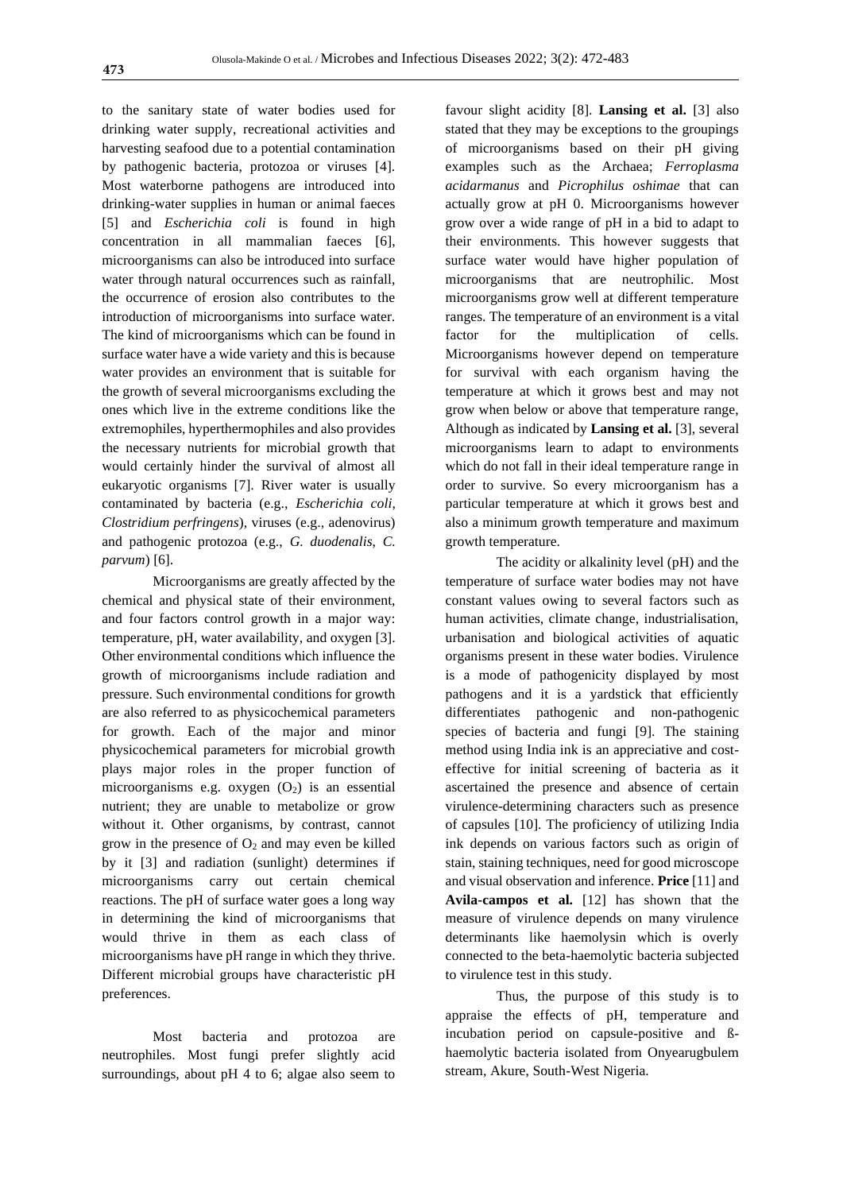to the sanitary state of water bodies used for drinking water supply, recreational activities and harvesting seafood due to a potential contamination by pathogenic bacteria, protozoa or viruses [4]. Most waterborne pathogens are introduced into drinking-water supplies in human or animal faeces [5] and *Escherichia coli* is found in high concentration in all mammalian faeces [6], microorganisms can also be introduced into surface water through natural occurrences such as rainfall. the occurrence of erosion also contributes to the introduction of microorganisms into surface water. The kind of microorganisms which can be found in surface water have a wide variety and this is because water provides an environment that is suitable for the growth of several microorganisms excluding the ones which live in the extreme conditions like the extremophiles, hyperthermophiles and also provides the necessary nutrients for microbial growth that would certainly hinder the survival of almost all eukaryotic organisms [7]. River water is usually contaminated by bacteria (e.g., *Escherichia coli*, *Clostridium perfringens*), viruses (e.g., adenovirus) and pathogenic protozoa (e.g., *G. duodenalis*, *C. parvum*) [6].

Microorganisms are greatly affected by the chemical and physical state of their environment, and four factors control growth in a major way: temperature, pH, water availability, and oxygen [3]. Other environmental conditions which influence the growth of microorganisms include radiation and pressure. Such environmental conditions for growth are also referred to as physicochemical parameters for growth. Each of the major and minor physicochemical parameters for microbial growth plays major roles in the proper function of microorganisms e.g. oxygen  $(O_2)$  is an essential nutrient; they are unable to metabolize or grow without it. Other organisms, by contrast, cannot grow in the presence of  $O_2$  and may even be killed by it [3] and radiation (sunlight) determines if microorganisms carry out certain chemical reactions. The pH of surface water goes a long way in determining the kind of microorganisms that would thrive in them as each class of microorganisms have pH range in which they thrive. Different microbial groups have characteristic pH preferences.

Most bacteria and protozoa are neutrophiles. Most fungi prefer slightly acid surroundings, about pH 4 to 6; algae also seem to favour slight acidity [8]. **Lansing et al.** [3] also stated that they may be exceptions to the groupings of microorganisms based on their pH giving examples such as the Archaea; *Ferroplasma acidarmanus* and *Picrophilus oshimae* that can actually grow at pH 0. Microorganisms however grow over a wide range of pH in a bid to adapt to their environments. This however suggests that surface water would have higher population of microorganisms that are neutrophilic. Most microorganisms grow well at different temperature ranges. The temperature of an environment is a vital factor for the multiplication of cells. Microorganisms however depend on temperature for survival with each organism having the temperature at which it grows best and may not grow when below or above that temperature range, Although as indicated by **Lansing et al.** [3], several microorganisms learn to adapt to environments which do not fall in their ideal temperature range in order to survive. So every microorganism has a particular temperature at which it grows best and also a minimum growth temperature and maximum growth temperature.

The acidity or alkalinity level (pH) and the temperature of surface water bodies may not have constant values owing to several factors such as human activities, climate change, industrialisation, urbanisation and biological activities of aquatic organisms present in these water bodies. Virulence is a mode of pathogenicity displayed by most pathogens and it is a yardstick that efficiently differentiates pathogenic and non-pathogenic species of bacteria and fungi [9]. The staining method using India ink is an appreciative and costeffective for initial screening of bacteria as it ascertained the presence and absence of certain virulence-determining characters such as presence of capsules [10]. The proficiency of utilizing India ink depends on various factors such as origin of stain, staining techniques, need for good microscope and visual observation and inference. **Price** [11] and **Avila-campos et al.** [12] has shown that the measure of virulence depends on many virulence determinants like haemolysin which is overly connected to the beta-haemolytic bacteria subjected to virulence test in this study.

Thus, the purpose of this study is to appraise the effects of pH, temperature and incubation period on capsule-positive and ßhaemolytic bacteria isolated from Onyearugbulem stream, Akure, South-West Nigeria.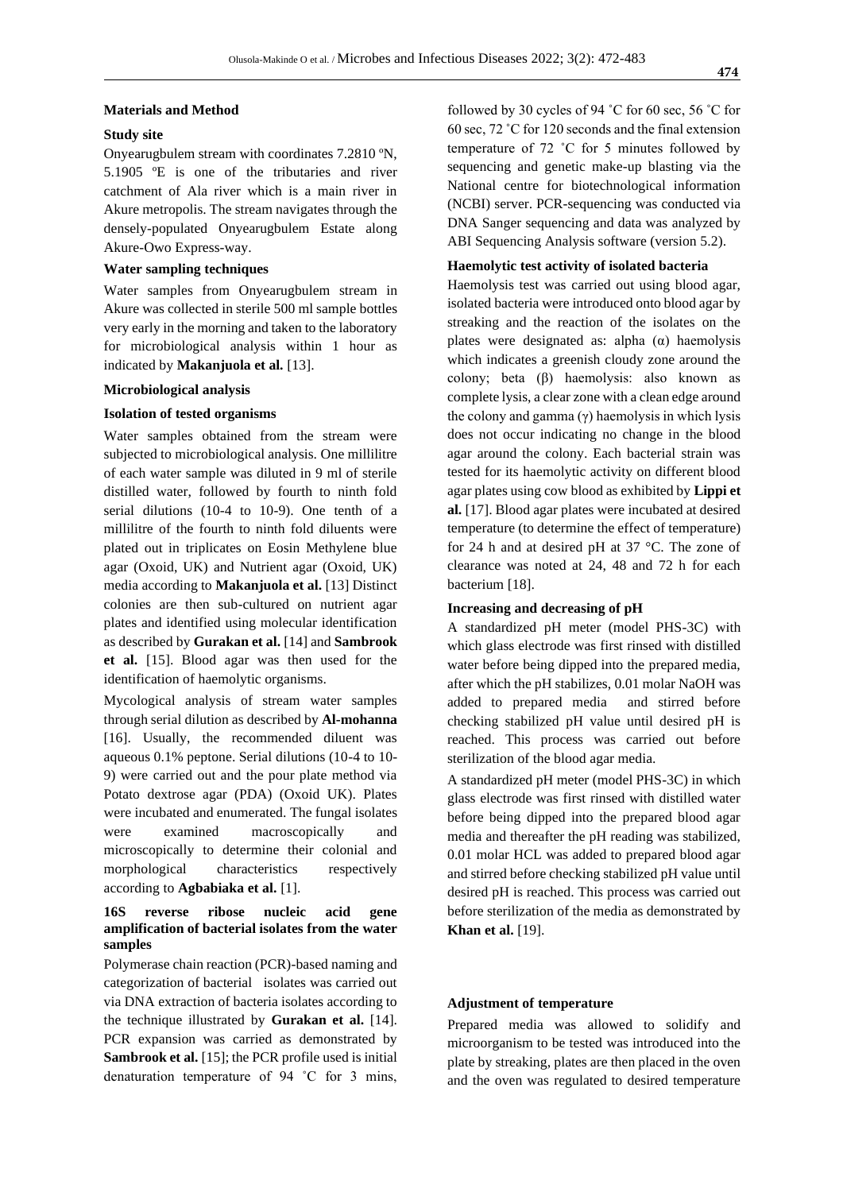#### **Materials and Method**

# **Study site**

Onyearugbulem stream with coordinates 7.2810 ºN, 5.1905 ºE is one of the tributaries and river catchment of Ala river which is a main river in Akure metropolis. The stream navigates through the densely-populated Onyearugbulem Estate along Akure-Owo Express-way.

# **Water sampling techniques**

Water samples from Onyearugbulem stream in Akure was collected in sterile 500 ml sample bottles very early in the morning and taken to the laboratory for microbiological analysis within 1 hour as indicated by **Makanjuola et al.** [13].

#### **Microbiological analysis**

#### **Isolation of tested organisms**

Water samples obtained from the stream were subjected to microbiological analysis. One millilitre of each water sample was diluted in 9 ml of sterile distilled water, followed by fourth to ninth fold serial dilutions (10-4 to 10-9). One tenth of a millilitre of the fourth to ninth fold diluents were plated out in triplicates on Eosin Methylene blue agar (Oxoid, UK) and Nutrient agar (Oxoid, UK) media according to **Makanjuola et al.** [13] Distinct colonies are then sub-cultured on nutrient agar plates and identified using molecular identification as described by **Gurakan et al.** [14] and **Sambrook et al.** [15]. Blood agar was then used for the identification of haemolytic organisms.

Mycological analysis of stream water samples through serial dilution as described by **Al-mohanna** [16]. Usually, the recommended diluent was aqueous 0.1% peptone. Serial dilutions (10-4 to 10- 9) were carried out and the pour plate method via Potato dextrose agar (PDA) (Oxoid UK). Plates were incubated and enumerated. The fungal isolates were examined macroscopically and microscopically to determine their colonial and morphological characteristics respectively according to **Agbabiaka et al.** [1].

# **16S reverse ribose nucleic acid gene amplification of bacterial isolates from the water samples**

Polymerase chain reaction (PCR)-based naming and categorization of bacterial isolates was carried out via DNA extraction of bacteria isolates according to the technique illustrated by **Gurakan et al.** [14]. PCR expansion was carried as demonstrated by **Sambrook et al.** [15]; the PCR profile used is initial denaturation temperature of 94 ˚C for 3 mins,

followed by 30 cycles of 94 ˚C for 60 sec, 56 ˚C for 60 sec, 72 ˚C for 120 seconds and the final extension temperature of 72 ˚C for 5 minutes followed by sequencing and genetic make-up blasting via the National centre for biotechnological information (NCBI) server. PCR-sequencing was conducted via DNA Sanger sequencing and data was analyzed by ABI Sequencing Analysis software (version 5.2).

# **Haemolytic test activity of isolated bacteria**

Haemolysis test was carried out using blood agar, isolated bacteria were introduced onto blood agar by streaking and the reaction of the isolates on the plates were designated as: alpha  $(\alpha)$  haemolysis which indicates a greenish cloudy zone around the colony; beta (β) haemolysis: also known as complete lysis, a clear zone with a clean edge around the colony and gamma  $(γ)$  haemolysis in which lysis does not occur indicating no change in the blood agar around the colony. Each bacterial strain was tested for its haemolytic activity on different blood agar plates using cow blood as exhibited by **Lippi et al.** [17]. Blood agar plates were incubated at desired temperature (to determine the effect of temperature) for 24 h and at desired pH at 37 °C. The zone of clearance was noted at 24, 48 and 72 h for each bacterium [18].

#### **Increasing and decreasing of pH**

A standardized pH meter (model PHS-3C) with which glass electrode was first rinsed with distilled water before being dipped into the prepared media, after which the pH stabilizes, 0.01 molar NaOH was added to prepared media and stirred before checking stabilized pH value until desired pH is reached. This process was carried out before sterilization of the blood agar media.

A standardized pH meter (model PHS-3C) in which glass electrode was first rinsed with distilled water before being dipped into the prepared blood agar media and thereafter the pH reading was stabilized, 0.01 molar HCL was added to prepared blood agar and stirred before checking stabilized pH value until desired pH is reached. This process was carried out before sterilization of the media as demonstrated by **Khan et al.** [19].

# **Adjustment of temperature**

Prepared media was allowed to solidify and microorganism to be tested was introduced into the plate by streaking, plates are then placed in the oven and the oven was regulated to desired temperature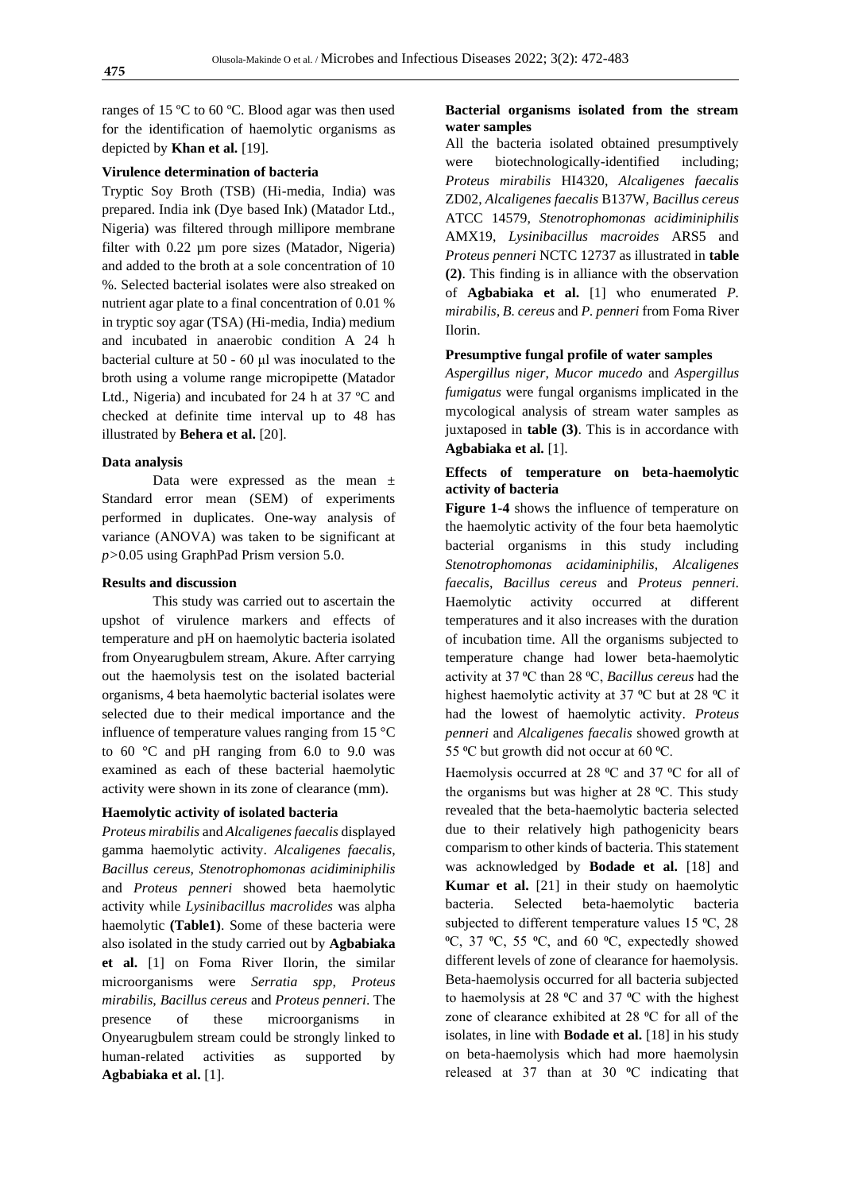ranges of 15 ºC to 60 ºC. Blood agar was then used for the identification of haemolytic organisms as depicted by **Khan et al.** [19].

#### **Virulence determination of bacteria**

Tryptic Soy Broth (TSB) (Hi-media, India) was prepared. India ink (Dye based Ink) (Matador Ltd., Nigeria) was filtered through millipore membrane filter with 0.22 µm pore sizes (Matador, Nigeria) and added to the broth at a sole concentration of 10 %. Selected bacterial isolates were also streaked on nutrient agar plate to a final concentration of 0.01 % in tryptic soy agar (TSA) (Hi-media, India) medium and incubated in anaerobic condition A 24 h bacterial culture at 50 - 60 μl was inoculated to the broth using a volume range micropipette (Matador Ltd., Nigeria) and incubated for 24 h at 37 ºC and checked at definite time interval up to 48 has illustrated by **Behera et al.** [20].

# **Data analysis**

Data were expressed as the mean ± Standard error mean (SEM) of experiments performed in duplicates. One-way analysis of variance (ANOVA) was taken to be significant at *p>*0.05 using GraphPad Prism version 5.0.

#### **Results and discussion**

This study was carried out to ascertain the upshot of virulence markers and effects of temperature and pH on haemolytic bacteria isolated from Onyearugbulem stream, Akure. After carrying out the haemolysis test on the isolated bacterial organisms, 4 beta haemolytic bacterial isolates were selected due to their medical importance and the influence of temperature values ranging from 15 °C to 60 °C and pH ranging from 6.0 to 9.0 was examined as each of these bacterial haemolytic activity were shown in its zone of clearance (mm).

#### **Haemolytic activity of isolated bacteria**

*Proteus mirabilis* and *Alcaligenes faecalis* displayed gamma haemolytic activity. *Alcaligenes faecalis*, *Bacillus cereus*, *Stenotrophomonas acidiminiphilis* and *Proteus penneri* showed beta haemolytic activity while *Lysinibacillus macrolides* was alpha haemolytic **(Table1)**. Some of these bacteria were also isolated in the study carried out by **Agbabiaka et al.** [1] on Foma River Ilorin, the similar microorganisms were *Serratia spp*, *Proteus mirabilis*, *Bacillus cereus* and *Proteus penneri*. The presence of these microorganisms in Onyearugbulem stream could be strongly linked to human-related activities as supported by **Agbabiaka et al.** [1].

# **Bacterial organisms isolated from the stream water samples**

All the bacteria isolated obtained presumptively were biotechnologically-identified including; *Proteus mirabilis* HI4320, *Alcaligenes faecalis* ZD02, *Alcaligenes faecalis* B137W, *Bacillus cereus* ATCC 14579, *Stenotrophomonas acidiminiphilis* AMX19, *Lysinibacillus macroides* ARS5 and *Proteus penneri* NCTC 12737 as illustrated in **table (2)**. This finding is in alliance with the observation of **Agbabiaka et al.** [1] who enumerated *P. mirabilis*, *B. cereus* and *P. penneri* from Foma River Ilorin.

# **Presumptive fungal profile of water samples**

*Aspergillus niger*, *Mucor mucedo* and *Aspergillus fumigatus* were fungal organisms implicated in the mycological analysis of stream water samples as juxtaposed in **table (3)**. This is in accordance with **Agbabiaka et al.** [1].

# **Effects of temperature on beta-haemolytic activity of bacteria**

**Figure 1-4** shows the influence of temperature on the haemolytic activity of the four beta haemolytic bacterial organisms in this study including *Stenotrophomonas acidaminiphilis*, *Alcaligenes faecalis*, *Bacillus cereus* and *Proteus penneri*. Haemolytic activity occurred at different temperatures and it also increases with the duration of incubation time. All the organisms subjected to temperature change had lower beta-haemolytic activity at 37 ⁰C than 28 ⁰C, *Bacillus cereus* had the highest haemolytic activity at 37  $\rm{^{\circ}C}$  but at 28  $\rm{^{\circ}C}$  it had the lowest of haemolytic activity. *Proteus penneri* and *Alcaligenes faecalis* showed growth at 55  $\rm{°C}$  but growth did not occur at 60  $\rm{°C}$ .

Haemolysis occurred at 28 °C and 37 °C for all of the organisms but was higher at  $28 \text{ °C}$ . This study revealed that the beta-haemolytic bacteria selected due to their relatively high pathogenicity bears comparism to other kinds of bacteria. This statement was acknowledged by **Bodade et al.** [18] and **Kumar et al.** [21] in their study on haemolytic bacteria. Selected beta-haemolytic bacteria subjected to different temperature values 15 °C, 28  $\rm{^0C}$ , 37  $\rm{^0C}$ , 55  $\rm{^0C}$ , and 60  $\rm{^0C}$ , expectedly showed different levels of zone of clearance for haemolysis. Beta-haemolysis occurred for all bacteria subjected to haemolysis at 28  $^{\circ}$ C and 37  $^{\circ}$ C with the highest zone of clearance exhibited at 28 °C for all of the isolates, in line with **Bodade et al.** [18] in his study on beta-haemolysis which had more haemolysin released at 37 than at 30  $^{\circ}$ C indicating that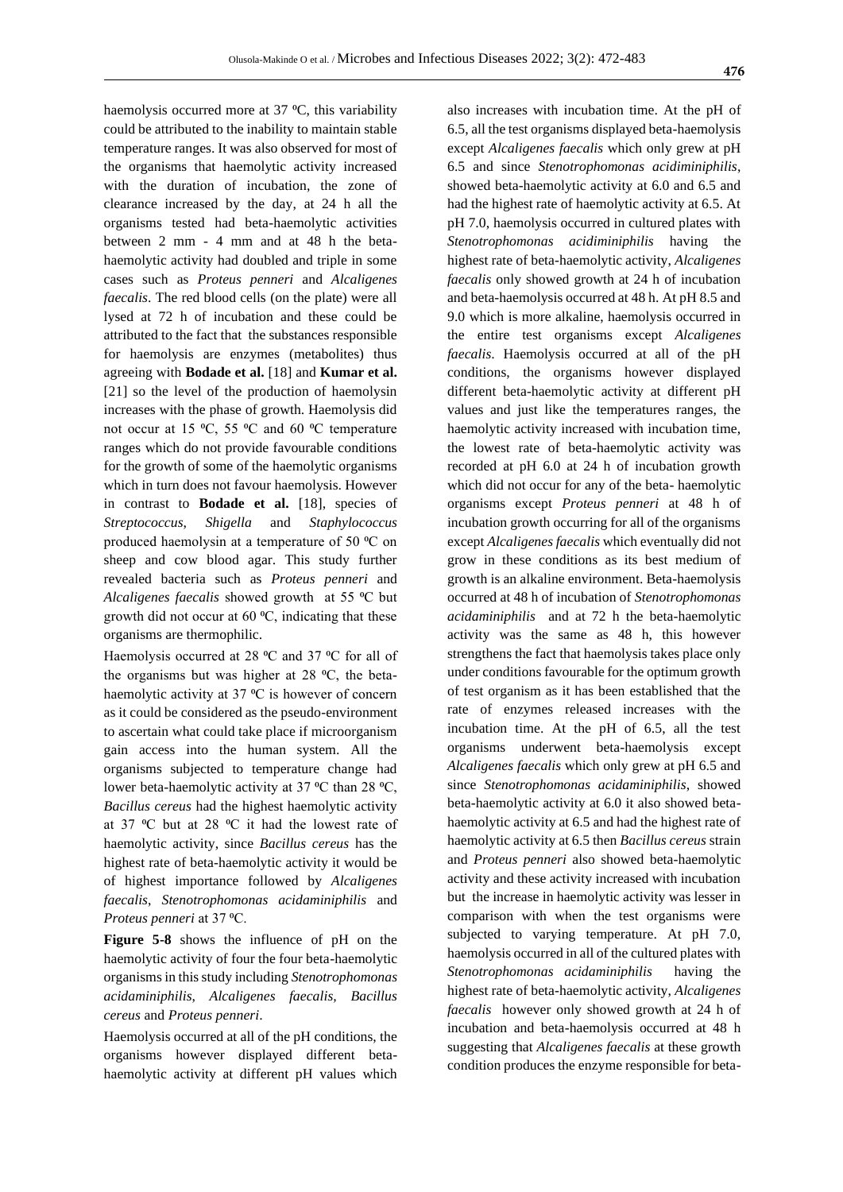haemolysis occurred more at  $37 \text{ °C}$ , this variability could be attributed to the inability to maintain stable temperature ranges. It was also observed for most of the organisms that haemolytic activity increased with the duration of incubation, the zone of clearance increased by the day, at 24 h all the organisms tested had beta-haemolytic activities between 2 mm - 4 mm and at 48 h the betahaemolytic activity had doubled and triple in some cases such as *Proteus penneri* and *Alcaligenes faecalis*. The red blood cells (on the plate) were all lysed at 72 h of incubation and these could be attributed to the fact that the substances responsible for haemolysis are enzymes (metabolites) thus agreeing with **Bodade et al.** [18] and **Kumar et al.** [21] so the level of the production of haemolysin increases with the phase of growth. Haemolysis did not occur at 15  $\rm{°C}$ , 55  $\rm{°C}$  and 60  $\rm{°C}$  temperature ranges which do not provide favourable conditions for the growth of some of the haemolytic organisms which in turn does not favour haemolysis. However in contrast to **Bodade et al.** [18], species of *Streptococcus*, *Shigella* and *Staphylococcus* produced haemolysin at a temperature of 50 °C on sheep and cow blood agar. This study further revealed bacteria such as *Proteus penneri* and Alcaligenes faecalis showed growth at 55 °C but growth did not occur at  $60^{\circ}$ C, indicating that these organisms are thermophilic.

Haemolysis occurred at 28 °C and 37 °C for all of the organisms but was higher at  $28 \text{ °C}$ , the betahaemolytic activity at  $37 \text{ °C}$  is however of concern as it could be considered as the pseudo-environment to ascertain what could take place if microorganism gain access into the human system. All the organisms subjected to temperature change had lower beta-haemolytic activity at 37 °C than 28 °C, *Bacillus cereus* had the highest haemolytic activity at 37  $\rm{°C}$  but at 28  $\rm{°C}$  it had the lowest rate of haemolytic activity, since *Bacillus cereus* has the highest rate of beta-haemolytic activity it would be of highest importance followed by *Alcaligenes faecalis*, *Stenotrophomonas acidaminiphilis* and *Proteus penneri* at 37 ⁰C.

**Figure 5-8** shows the influence of pH on the haemolytic activity of four the four beta-haemolytic organisms in this study including *Stenotrophomonas acidaminiphilis*, *Alcaligenes faecalis, Bacillus cereus* and *Proteus penneri*.

Haemolysis occurred at all of the pH conditions, the organisms however displayed different betahaemolytic activity at different pH values which

also increases with incubation time. At the pH of 6.5, all the test organisms displayed beta-haemolysis except *Alcaligenes faecalis* which only grew at pH 6.5 and since *Stenotrophomonas acidiminiphilis*, showed beta-haemolytic activity at 6.0 and 6.5 and had the highest rate of haemolytic activity at 6.5. At pH 7.0, haemolysis occurred in cultured plates with *Stenotrophomonas acidiminiphilis* having the highest rate of beta-haemolytic activity, *Alcaligenes faecalis* only showed growth at 24 h of incubation and beta-haemolysis occurred at 48 h. At pH 8.5 and 9.0 which is more alkaline, haemolysis occurred in the entire test organisms except *Alcaligenes faecalis*. Haemolysis occurred at all of the pH conditions, the organisms however displayed different beta-haemolytic activity at different pH values and just like the temperatures ranges, the haemolytic activity increased with incubation time, the lowest rate of beta-haemolytic activity was recorded at pH 6.0 at 24 h of incubation growth which did not occur for any of the beta- haemolytic organisms except *Proteus penneri* at 48 h of incubation growth occurring for all of the organisms except *Alcaligenes faecalis* which eventually did not grow in these conditions as its best medium of growth is an alkaline environment. Beta-haemolysis occurred at 48 h of incubation of *Stenotrophomonas acidaminiphilis* and at 72 h the beta-haemolytic activity was the same as 48 h, this however strengthens the fact that haemolysis takes place only under conditions favourable for the optimum growth of test organism as it has been established that the rate of enzymes released increases with the incubation time. At the pH of 6.5, all the test organisms underwent beta-haemolysis except *Alcaligenes faecalis* which only grew at pH 6.5 and since *Stenotrophomonas acidaminiphilis*, showed beta-haemolytic activity at 6.0 it also showed betahaemolytic activity at 6.5 and had the highest rate of haemolytic activity at 6.5 then *Bacillus cereus* strain and *Proteus penneri* also showed beta-haemolytic activity and these activity increased with incubation but the increase in haemolytic activity was lesser in comparison with when the test organisms were subjected to varying temperature. At pH 7.0, haemolysis occurred in all of the cultured plates with *Stenotrophomonas acidaminiphilis* having the highest rate of beta-haemolytic activity, *Alcaligenes faecalis* however only showed growth at 24 h of incubation and beta-haemolysis occurred at 48 h suggesting that *Alcaligenes faecalis* at these growth condition produces the enzyme responsible for beta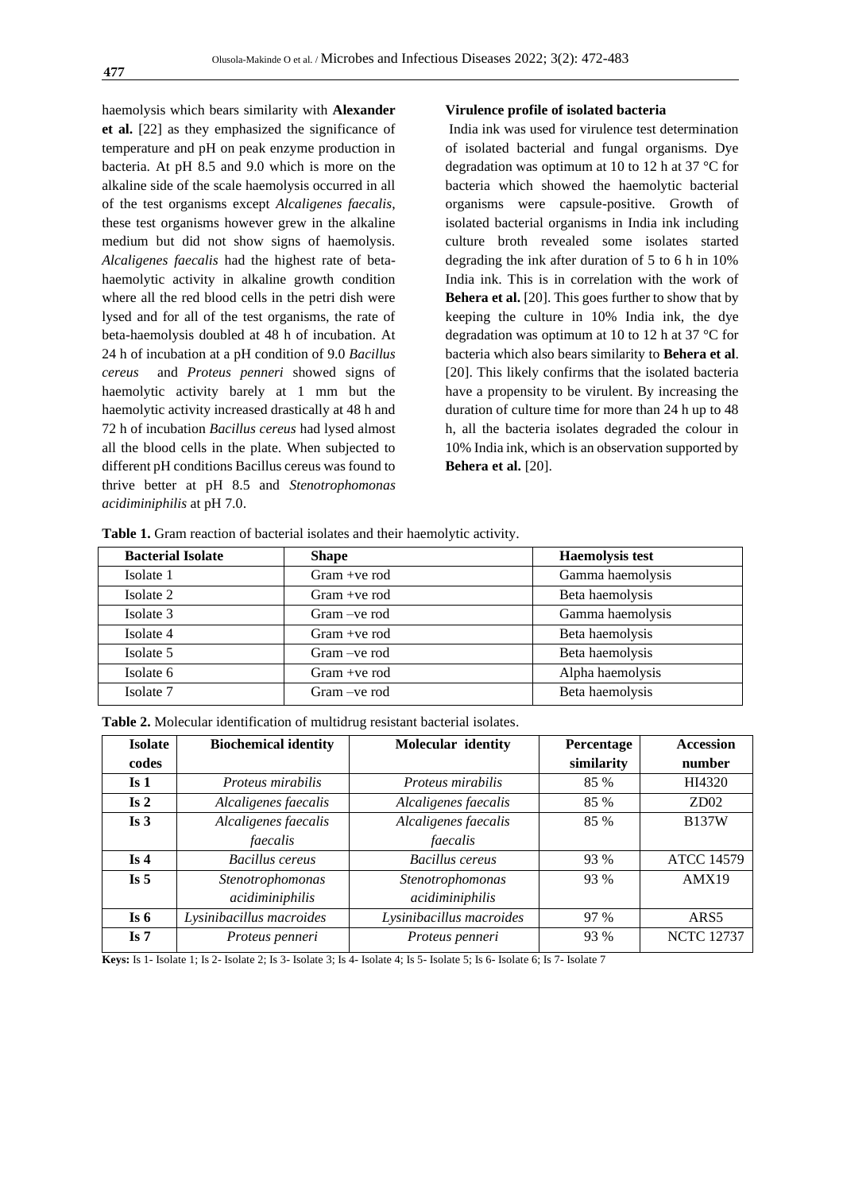haemolysis which bears similarity with **Alexander et al.** [22] as they emphasized the significance of temperature and pH on peak enzyme production in bacteria. At pH 8.5 and 9.0 which is more on the alkaline side of the scale haemolysis occurred in all of the test organisms except *Alcaligenes faecalis*, these test organisms however grew in the alkaline medium but did not show signs of haemolysis. *Alcaligenes faecalis* had the highest rate of betahaemolytic activity in alkaline growth condition where all the red blood cells in the petri dish were lysed and for all of the test organisms, the rate of beta-haemolysis doubled at 48 h of incubation. At 24 h of incubation at a pH condition of 9.0 *Bacillus cereus* and *Proteus penneri* showed signs of haemolytic activity barely at 1 mm but the haemolytic activity increased drastically at 48 h and 72 h of incubation *Bacillus cereus* had lysed almost all the blood cells in the plate. When subjected to different pH conditions Bacillus cereus was found to thrive better at pH 8.5 and *Stenotrophomonas acidiminiphilis* at pH 7.0.

#### **Virulence profile of isolated bacteria**

India ink was used for virulence test determination of isolated bacterial and fungal organisms. Dye degradation was optimum at 10 to 12 h at 37 °C for bacteria which showed the haemolytic bacterial organisms were capsule-positive. Growth of isolated bacterial organisms in India ink including culture broth revealed some isolates started degrading the ink after duration of 5 to 6 h in 10% India ink. This is in correlation with the work of **Behera et al.** [20]. This goes further to show that by keeping the culture in 10% India ink, the dye degradation was optimum at 10 to 12 h at 37 °C for bacteria which also bears similarity to **Behera et al**. [20]. This likely confirms that the isolated bacteria have a propensity to be virulent. By increasing the duration of culture time for more than 24 h up to 48 h, all the bacteria isolates degraded the colour in 10% India ink, which is an observation supported by **Behera et al.** [20].

| <b>Bacterial Isolate</b> | <b>Shape</b>    | <b>Haemolysis test</b> |
|--------------------------|-----------------|------------------------|
| Isolate 1                | $Gram + ve$ rod | Gamma haemolysis       |
| Isolate 2                | $Gram + ve$ rod | Beta haemolysis        |
| Isolate 3                | $Gram -ve$ rod  | Gamma haemolysis       |
| Isolate 4                | $Gram +ve$ rod  | Beta haemolysis        |
| Isolate 5                | $Gram -ve$ rod  | Beta haemolysis        |
| Isolate 6                | $Gram +ve$ rod  | Alpha haemolysis       |
| Isolate 7                | Gram –ve rod    | Beta haemolysis        |

**Table 1.** Gram reaction of bacterial isolates and their haemolytic activity.

**Table 2.** Molecular identification of multidrug resistant bacterial isolates.

| <b>Isolate</b>  | <b>Biochemical identity</b> | Molecular identity       | Percentage | <b>Accession</b>  |
|-----------------|-----------------------------|--------------------------|------------|-------------------|
| codes           |                             |                          | similarity | number            |
| Is <sub>1</sub> | Proteus mirabilis           | <i>Proteus mirabilis</i> | 85 %       | HI4320            |
| Is 2            | Alcaligenes faecalis        | Alcaligenes faecalis     | 85 %       | ZD02              |
| Is <sub>3</sub> | Alcaligenes faecalis        | Alcaligenes faecalis     | 85 %       | <b>B137W</b>      |
|                 | faecalis                    | faecalis                 |            |                   |
| Is $4$          | Bacillus cereus             | Bacillus cereus          | 93 %       | <b>ATCC 14579</b> |
| Is $5$          | Stenotrophomonas            | Stenotrophomonas         | 93 %       | AMX19             |
|                 | acidiminiphilis             | acidiminiphilis          |            |                   |
| Is $6$          | Lysinibacillus macroides    | Lysinibacillus macroides | 97 %       | ARS <sub>5</sub>  |
| Is $7$          | Proteus penneri             | Proteus penneri          | 93 %       | <b>NCTC 12737</b> |

**Keys:** Is 1- Isolate 1; Is 2- Isolate 2; Is 3- Isolate 3; Is 4- Isolate 4; Is 5- Isolate 5; Is 6- Isolate 6; Is 7- Isolate 7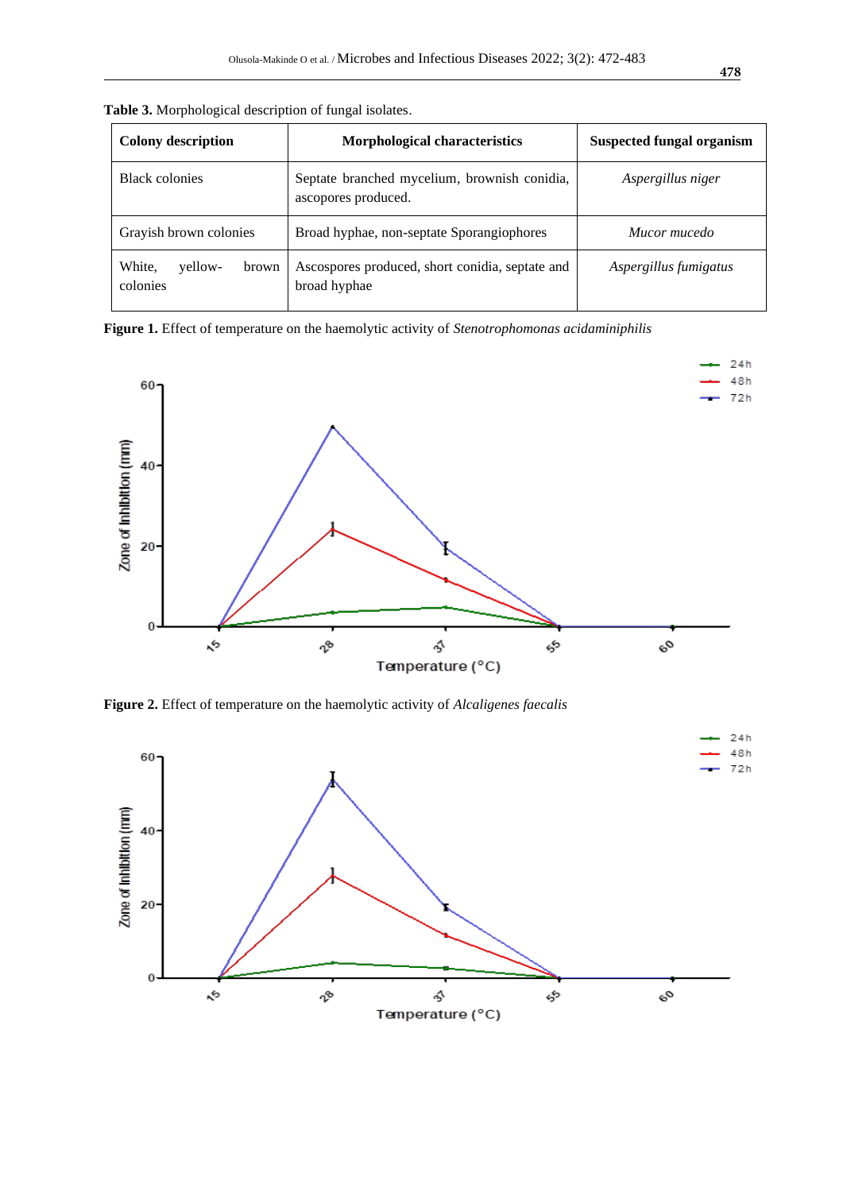| <b>Colony description</b>              | Morphological characteristics                                       | <b>Suspected fungal organism</b> |  |
|----------------------------------------|---------------------------------------------------------------------|----------------------------------|--|
| <b>Black colonies</b>                  | Septate branched mycelium, brownish conidia,<br>ascopores produced. | Aspergillus niger                |  |
| Grayish brown colonies                 | Broad hyphae, non-septate Sporangiophores                           | Mucor mucedo                     |  |
| White,<br>yellow-<br>brown<br>colonies | Ascospores produced, short conidia, septate and<br>broad hyphae     | Aspergillus fumigatus            |  |

**Table 3.** Morphological description of fungal isolates.

**Figure 1.** Effect of temperature on the haemolytic activity of *Stenotrophomonas acidaminiphilis*



**Figure 2.** Effect of temperature on the haemolytic activity of *Alcaligenes faecalis*

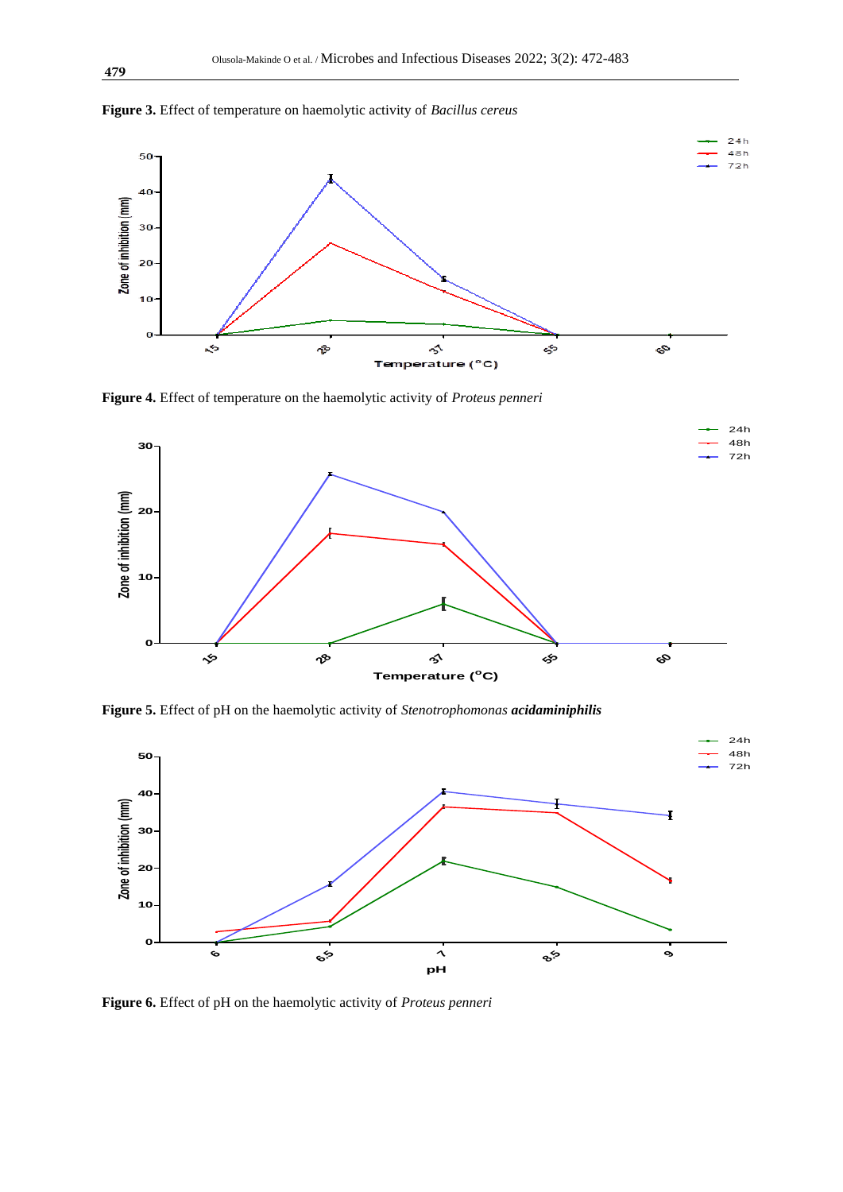

**Figure 3.** Effect of temperature on haemolytic activity of *Bacillus cereus*

**Figure 4.** Effect of temperature on the haemolytic activity of *Proteus penneri*



**Figure 5.** Effect of pH on the haemolytic activity of *Stenotrophomonas acidaminiphilis* 



**Figure 6.** Effect of pH on the haemolytic activity of *Proteus penneri*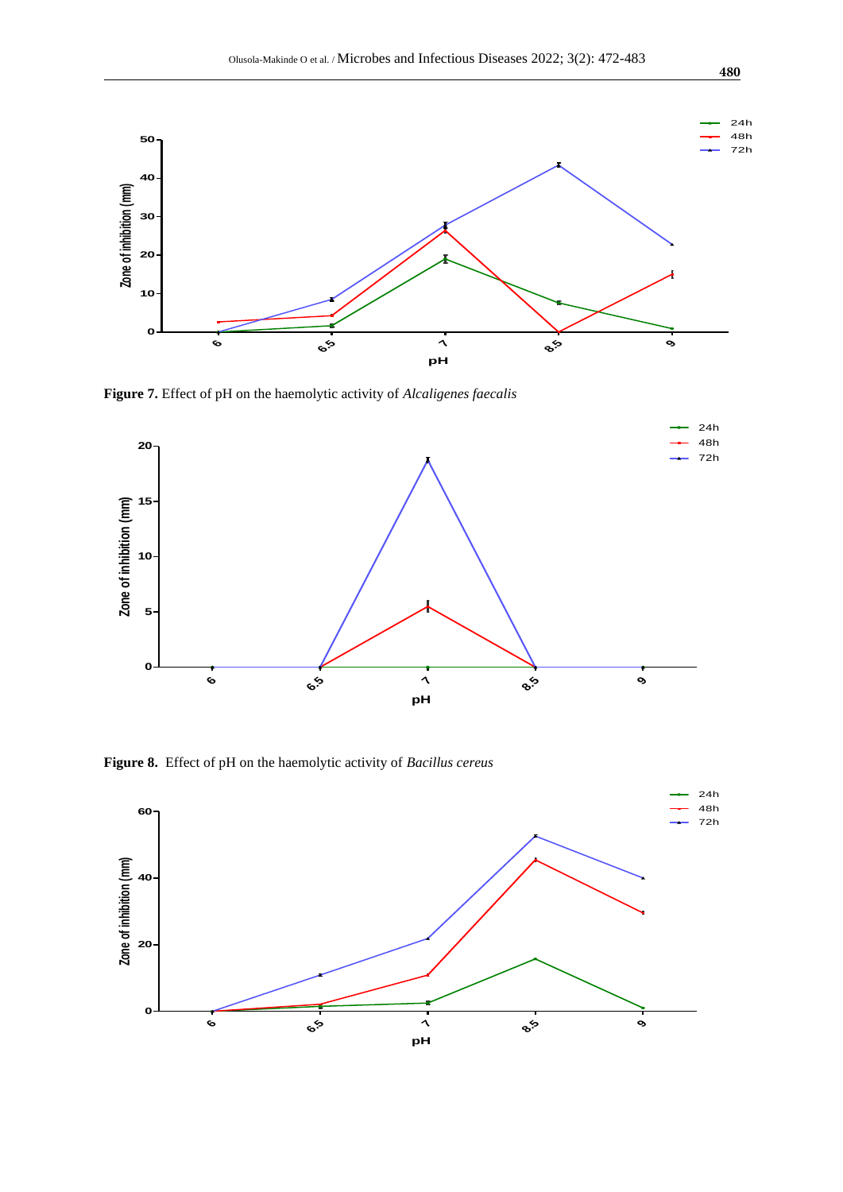

**Figure 7.** Effect of pH on the haemolytic activity of *Alcaligenes faecalis*



**Figure 8.** Effect of pH on the haemolytic activity of *Bacillus cereus*



**480**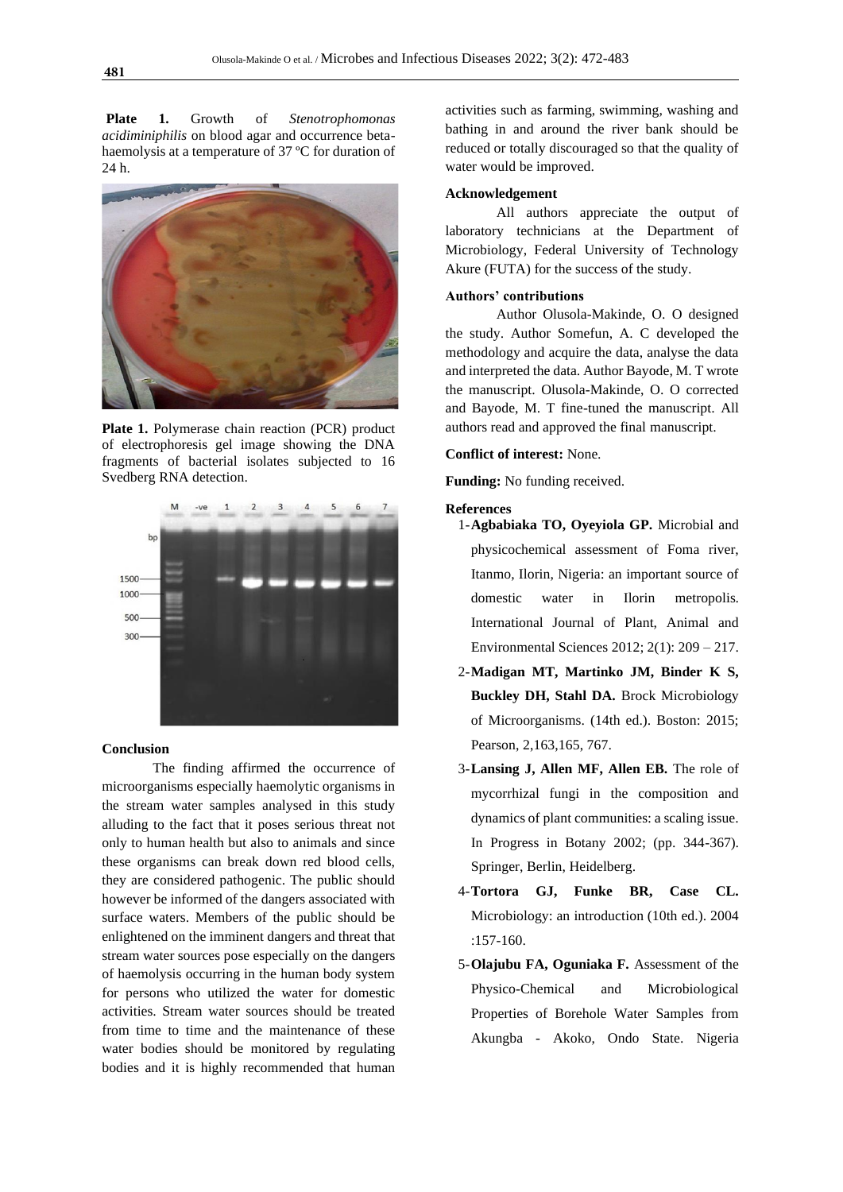**Plate 1.** Growth of *Stenotrophomonas acidiminiphilis* on blood agar and occurrence betahaemolysis at a temperature of 37 ºC for duration of 24 h.



**Plate 1.** Polymerase chain reaction (PCR) product of electrophoresis gel image showing the DNA fragments of bacterial isolates subjected to 16 Svedberg RNA detection.



#### **Conclusion**

The finding affirmed the occurrence of microorganisms especially haemolytic organisms in the stream water samples analysed in this study alluding to the fact that it poses serious threat not only to human health but also to animals and since these organisms can break down red blood cells, they are considered pathogenic. The public should however be informed of the dangers associated with surface waters. Members of the public should be enlightened on the imminent dangers and threat that stream water sources pose especially on the dangers of haemolysis occurring in the human body system for persons who utilized the water for domestic activities. Stream water sources should be treated from time to time and the maintenance of these water bodies should be monitored by regulating bodies and it is highly recommended that human

activities such as farming, swimming, washing and bathing in and around the river bank should be reduced or totally discouraged so that the quality of water would be improved.

#### **Acknowledgement**

All authors appreciate the output of laboratory technicians at the Department of Microbiology, Federal University of Technology Akure (FUTA) for the success of the study.

# **Authors' contributions**

Author Olusola-Makinde, O. O designed the study. Author Somefun, A. C developed the methodology and acquire the data, analyse the data and interpreted the data. Author Bayode, M. T wrote the manuscript. Olusola-Makinde, O. O corrected and Bayode, M. T fine-tuned the manuscript. All authors read and approved the final manuscript.

#### **Conflict of interest:** None.

**Funding:** No funding received.

#### **References**

- 1-**Agbabiaka TO, Oyeyiola GP.** Microbial and physicochemical assessment of Foma river, Itanmo, Ilorin, Nigeria: an important source of domestic water in Ilorin metropolis. International Journal of Plant, Animal and Environmental Sciences 2012; 2(1): 209 – 217.
- 2-**Madigan MT, Martinko JM, Binder K S, Buckley DH, Stahl DA.** Brock Microbiology of Microorganisms. (14th ed.). Boston: 2015; Pearson, 2,163,165, 767.
- 3-**Lansing J, Allen MF, Allen EB.** The role of mycorrhizal fungi in the composition and dynamics of plant communities: a scaling issue. In Progress in Botany 2002; (pp. 344-367). Springer, Berlin, Heidelberg.
- 4-**Tortora GJ, Funke BR, Case CL.** Microbiology: an introduction (10th ed.). 2004 :157-160.
- 5-**Olajubu FA, Oguniaka F.** Assessment of the Physico-Chemical and Microbiological Properties of Borehole Water Samples from Akungba - Akoko, Ondo State. Nigeria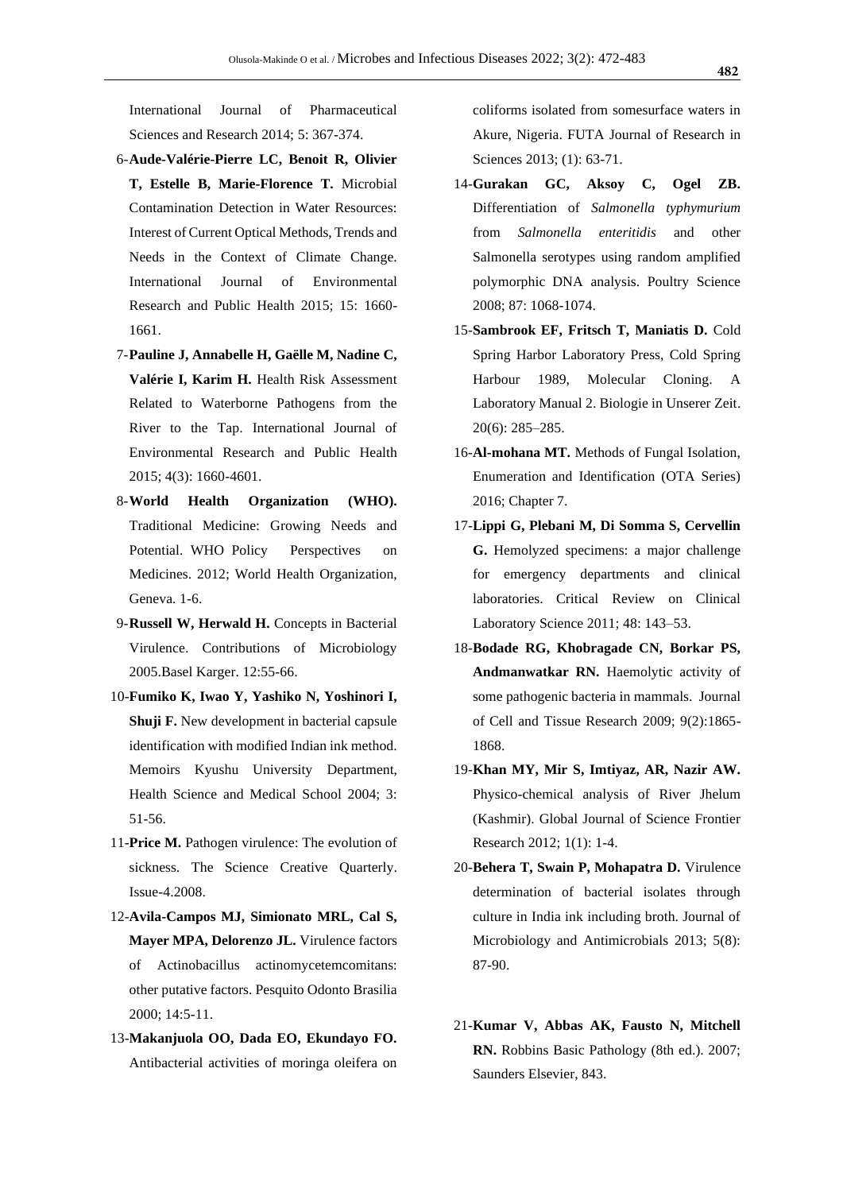International Journal of Pharmaceutical Sciences and Research 2014; 5: 367-374.

- 6-**Aude-Valérie-Pierre LC, Benoit R, Olivier T, Estelle B, Marie-Florence T.** Microbial Contamination Detection in Water Resources: Interest of Current Optical Methods, Trends and Needs in the Context of Climate Change. International Journal of Environmental Research and Public Health 2015; 15: 1660- 1661.
- 7-**Pauline J, Annabelle H, Gaëlle M, Nadine C,**  Valérie I, Karim H. Health Risk Assessment Related to Waterborne Pathogens from the River to the Tap. International Journal of Environmental Research and Public Health 2015; 4(3): 1660-4601.
- 8-**World Health Organization (WHO).** Traditional Medicine: Growing Needs and Potential. WHO Policy Perspectives on Medicines. 2012; World Health Organization, Geneva. 1-6.
- 9-**Russell W, Herwald H.** Concepts in Bacterial Virulence. Contributions of Microbiology 2005.Basel Karger. 12:55-66.
- 10-**Fumiko K, Iwao Y, Yashiko N, Yoshinori I, Shuji F.** New development in bacterial capsule identification with modified Indian ink method. Memoirs Kyushu University Department, Health Science and Medical School 2004; 3: 51-56.
- 11-**Price M.** Pathogen virulence: The evolution of sickness. The Science Creative Quarterly. Issue-4.2008.
- 12-**Avila-Campos MJ, Simionato MRL, Cal S, Mayer MPA, Delorenzo JL.** Virulence factors of Actinobacillus actinomycetemcomitans: other putative factors. Pesquito Odonto Brasilia 2000; 14:5-11.
- 13-**Makanjuola OO, Dada EO, Ekundayo FO.** Antibacterial activities of moringa oleifera on

coliforms isolated from somesurface waters in Akure, Nigeria. FUTA Journal of Research in Sciences 2013; (1): 63-71.

- 14-**Gurakan GC, Aksoy C, Ogel ZB.** Differentiation of *Salmonella typhymurium* from *Salmonella enteritidis* and other Salmonella serotypes using random amplified polymorphic DNA analysis. Poultry Science 2008; 87: 1068-1074.
- 15-**Sambrook EF, Fritsch T, Maniatis D.** Cold Spring Harbor Laboratory Press, Cold Spring Harbour 1989, Molecular Cloning. A Laboratory Manual 2. Biologie in Unserer Zeit. 20(6): 285–285.
- 16-**Al-mohana MT.** Methods of Fungal Isolation, Enumeration and Identification (OTA Series) 2016; Chapter 7.
- 17-**Lippi G, Plebani M, Di Somma S, Cervellin G.** Hemolyzed specimens: a major challenge for emergency departments and clinical laboratories. Critical Review on Clinical Laboratory Science 2011; 48: 143–53.
- 18-**Bodade RG, Khobragade CN, Borkar PS, Andmanwatkar RN.** Haemolytic activity of some pathogenic bacteria in mammals. Journal of Cell and Tissue Research 2009; 9(2):1865- 1868.
- 19-**Khan MY, Mir S, Imtiyaz, AR, Nazir AW.** Physico-chemical analysis of River Jhelum (Kashmir). Global Journal of Science Frontier Research 2012; 1(1): 1-4.
- 20-**Behera T, Swain P, Mohapatra D.** Virulence determination of bacterial isolates through culture in India ink including broth. Journal of Microbiology and Antimicrobials 2013; 5(8): 87-90.
- 21-**Kumar V, Abbas AK, Fausto N, Mitchell RN.** Robbins Basic Pathology (8th ed.). 2007; Saunders Elsevier, 843.